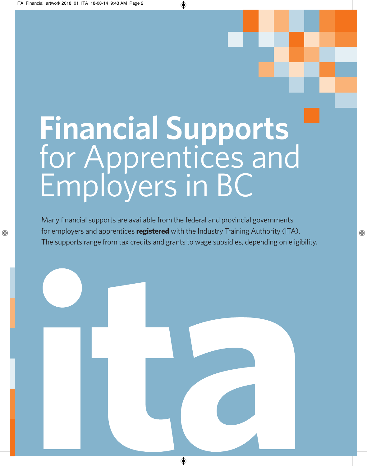# **Financial Supports** for Apprentices and Employers in BC

Many financial supports are available from the federal and provincial governments for employers and apprentices **registered** with the Industry Training Authority (ITA). The supports range from tax credits and grants to wage subsidies, depending on eligibility.

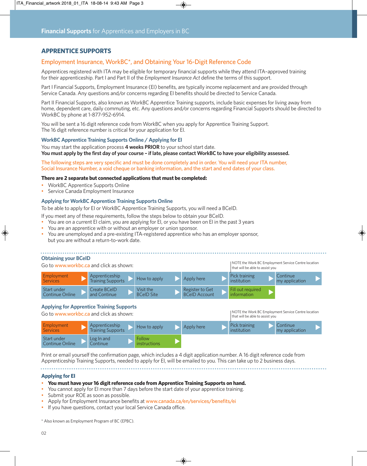# **APPRENTICE SUPPORTS**

## Employment Insurance, WorkBC\*, and Obtaining Your 16-Digit Reference Code

Apprentices registered with ITA may be eligible for temporary financial supports while they attend ITA–approved training for their apprenticeship. Part I and Part II of the *Employment Insurance Act* define the terms of this support.

Part I Financial Supports, Employment Insurance (EI) benefits, are typically income replacement and are provided through Service Canada. Any questions and/or concerns regarding EI benefits should be directed to Service Canada.

Part II Financial Supports, also known as WorkBC Apprentice Training supports, include basic expenses for living away from home, dependent care, daily commuting, etc. Any questions and/or concerns regarding Financial Supports should be directed to WorkBC by phone at 1-877-952-6914.

You will be sent a 16 digit reference code from WorkBC when you apply for Apprentice Training Support. The 16 digit reference number is critical for your application for EI.

#### **WorkBC Apprentice Training Supports Online / Applying for EI**

You may start the application process **4 weeks PRIOR** to your school start date. You must apply by the first day of your course - if late, please contact WorkBC to have your eligibility assessed.

The following steps are very specific and must be done completely and in order. You will need your ITA number, Social Insurance Number, a void cheque or banking information, and the start and end dates of your class.

#### **There are 2 separate but connected applications that must be completed:**

- WorkBC Apprentice Supports Online
- Service Canada Employment Insurance

#### **Applying for WorkBC Apprentice Training Supports Online**

To be able to apply for EI or WorkBC Apprentice Training Supports, you will need a BCeID.

If you meet any of these requirements, follow the steps below to obtain your BCeID.

- You are on a current EI claim, you are applying for EI, or you have been on EI in the past 3 years
- You are an apprentice with or without an employer or union sponsor.
- You are unemployed and a pre-existing ITA-registered apprentice who has an employer sponsor, but you are without a return-to-work date.

#### **Obtaining your BCeID**

Go to www.workbc.ca and click as shown: **Employment Services** Apprenticeship Apprenticeship<br>Training Supports How to apply Apply here Pick training institution **Continue** my application Start under<br>Continue Online Create BCeID and Continue Visit the BCeID Site Fill out required information Register to Get BCeID Account NOTE the Work BC Employment Service Centre location that will be able to assist you **▼▼▼▼▼▼▼▼▼▼▼**

#### **Applying for Apprentice Training Supports**

| Go to www.workbc.ca and click as shown: |                                            |                        |            | NOTE the Work BC Employment Service Centre location<br>that will be able to assist you |                            |  |
|-----------------------------------------|--------------------------------------------|------------------------|------------|----------------------------------------------------------------------------------------|----------------------------|--|
| Employment<br><b>Services</b>           | Apprenticeship<br><b>Training Supports</b> | How to apply           | Apply here | Pick training<br>institution                                                           | Continue<br>my application |  |
| Start under<br>Continue Online          | Log In and<br>Continue                     | Follow<br>instructions |            |                                                                                        |                            |  |

Print or email yourself the confirmation page, which includes a 4 digit application number. A 16 digit reference code from Apprenticeship Training Supports, needed to apply for EI, will be emailed to you. This can take up to 2 business days.

#### **Applying for EI**

#### • **You must have your 16 digitreference code from Apprentice Training Supports on hand.**

- You cannot apply for EI more than 7 days before the start date of your apprentice training.
- Submit your ROE as soon as possible.
- Apply for Employment Insurance benefits at www.canada.ca/en/services/benefits/ei
- If you have questions, contact your local Service Canada office.

\* Also known as Employment Program of BC (EPBC).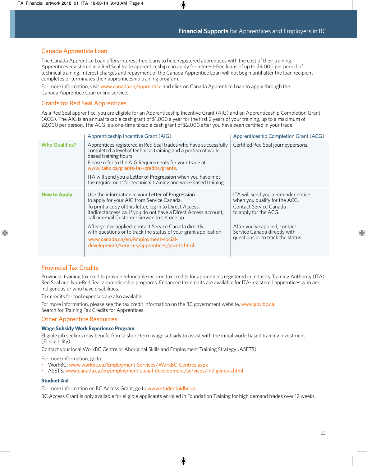# Canada Apprentice Loan

The Canada Apprentice Loan offers interest-free loans to help registered apprentices with the cost of their training. Apprentices registered in a Red Seal trade apprenticeship can apply for interest-free loans of up to \$4,000 per period of technical training. Interest charges and repayment of the Canada Apprentice Loan will not begin until after the loan recipient completes or terminates their apprenticeship training program.

For more information, visit www.canada.ca/apprentice and click on Canada Apprentice Loan to apply through the Canada Apprentice Loan online service.

# Grants for Red Seal Apprentices

As a Red Seal apprentice, you are eligible for an Apprenticeship Incentive Grant(AIG) and an Apprenticeship Completion Grant (ACG). The AIG is an annual taxable cash grant of \$1,000 a year for the first 2 years of your training, up to a maximum of \$2,000 per person. The ACG is a one-time taxable cash grant of \$2,000 after you have been certified in your trade.

|                       | Apprenticeship Incentive Grant (AIG)                                                                                                                                                                                                                                                                                                                                                                                                                                                                | <b>Apprenticeship Completion Grant (ACG)</b>                                                                                                                                                                                  |  |
|-----------------------|-----------------------------------------------------------------------------------------------------------------------------------------------------------------------------------------------------------------------------------------------------------------------------------------------------------------------------------------------------------------------------------------------------------------------------------------------------------------------------------------------------|-------------------------------------------------------------------------------------------------------------------------------------------------------------------------------------------------------------------------------|--|
| <b>Who Qualifies?</b> | Apprentices registered in Red Seal trades who have successfully<br>completed a level of technical training and a portion of work,<br>based training hours.<br>Please refer to the AIG Requirements for your trade at<br>www.itabc.ca/grants-tax-credits/grants.<br>ITA will send you a Letter of Progression when you have met<br>the requirement for technical training and work-based training.                                                                                                   | Certified Red Seal journeypersons.                                                                                                                                                                                            |  |
| <b>How to Apply</b>   | Use the information in your Letter of Progression<br>to apply for your AIG from Service Canada.<br>To print a copy of this letter, log in to Direct Access,<br>itadirectaccess.ca. If you do not have a Direct Access account,<br>call or email Customer Service to set one up.<br>After you've applied, contact Service Canada directly<br>with questions or to track the status of your grant application.<br>www.canada.ca/en/employment-social-<br>development/services/apprentices/grants.html | ITA will send you a reminder notice<br>when you qualify for the ACG.<br>Contact Service Canada<br>to apply for the ACG.<br>After you've applied, contact<br>Service Canada directly with<br>questions or to track the status. |  |

# Provincial Tax Credits

Provincial training tax credits provide refundable income tax credits for apprentices registered in Industry Training Authority (ITA) Red Seal and Non-Red Seal apprenticeship programs. Enhanced tax credits are available for ITA-registered apprentices who are Indigenous or who have disabilities.

Tax credits for tool expenses are also available.

For more information, please see the tax credit information on the BC government website, www.gov.bc.ca. Search for Training Tax Credits for Apprentices.

# Other Apprentice Resources

#### **Wage Subsidy Work Experience Program**

Eligible job seekers may benefit from a short-term wage subsidy to assist with the initial work- based training investment (EI eligibility).

Contact your local WorkBC Centre or Aboriginal Skills and Employment Training Strategy (ASETS).

For more information, go to:

- WorkBC: www.workbc.ca/Employment-Services/WorkBC-Centres.aspx
- ASETS: www.canada.ca/en/employment-social-development/services/indigenous.html

#### **Student Aid**

For more information on BC Access Grant, go to www.studentaidbc.ca

BC Access Grant is only available for eligible applicants enrolled in Foundation Training for high demand trades over 12 weeks.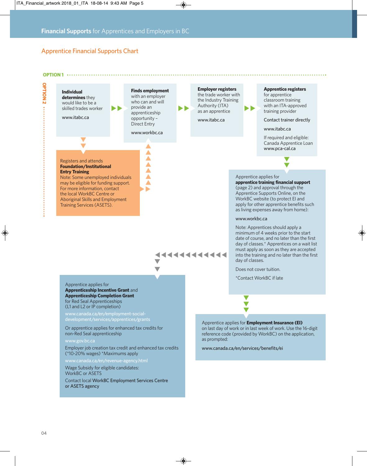# Apprentice Financial Supports Chart

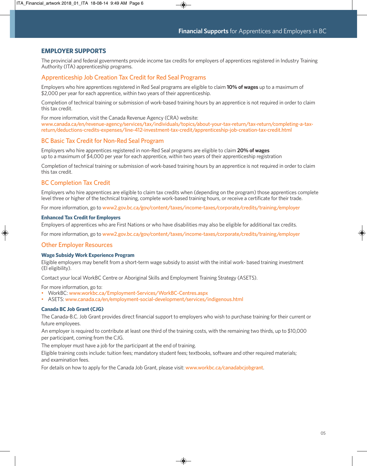# **EMPLOYER SUPPORTS**

The provincial and federal governments provide income tax credits for employers of apprentices registered in Industry Training Authority (ITA) apprenticeship programs.

### Apprenticeship Job Creation Tax Credit for Red Seal Programs

Employers who hire apprentices registered in Red Seal programs are eligible to claim **10% of wages** up to a maximum of \$2,000 per year for each apprentice, within two years of their apprenticeship.

Completion of technical training or submission of work-based training hours by an apprentice is not required in order to claim this tax credit.

For more information, visit the Canada Revenue Agency (CRA) website:

www.canada.ca/en/revenue-agency/services/tax/individuals/topics/about-your-tax-return/tax-return/completing-a-taxreturn/deductions-credits-expenses/line-412-investment-tax-credit/apprenticeship-job-creation-tax-credit.html

#### BC Basic Tax Credit for Non-Red Seal Program

Employers who hire apprentices registered in non-Red Seal programs are eligible to claim **20% of wages** up to a maximum of \$4,000 per year for each apprentice, within two years of their apprenticeship registration

Completion of technical training or submission of work-based training hours by an apprentice is not required in order to claim this tax credit.

# BC Completion Tax Credit

Employers who hire apprentices are eligible to claim tax credits when (depending on the program) those apprentices complete level three or higher of the technical training, complete work-based training hours, or receive a certificate for their trade.

For more information, go to [www2.gov.bc.ca/gov/content/taxes/income-taxes/corporate/credits/training/employer](https://www2.gov.bc.ca/gov/content/taxes/income-taxes/corporate/credits/training/employer)

#### **Enhanced Tax Credit for Employers**

Employers of apprentices who are First Nations or who have disabilities may also be eligible for additional tax credits.

For more information, go to [www2.gov.bc.ca/gov/content/taxes/income-taxes/corporate/credits/training/employer](https://www2.gov.bc.ca/gov/content/taxes/income-taxes/corporate/credits/training/employer)

#### Other Employer Resources

#### **Wage Subsidy Work Experience Program**

Eligible employers may benefit from a short-term wage subsidy to assist with the initial work- based training investment (EI eligibility).

Contact your local WorkBC Centre or Aboriginal Skills and Employment Training Strategy (ASETS).

For more information, go to:

- WorkBC: www.workbc.ca/Employment-Services/WorkBC-Centres.aspx
- ASETS: www.canada.ca/en/employment-social-development/services/indigenous.html

#### **Canada BC Job Grant (CJG)**

The Canada-B.C. Job Grant provides direct financial support to employers who wish to purchase training for their current or future employees.

An employer is required to contribute at least one third of the training costs, with the remaining two thirds, up to \$10,000 per participant, coming from the CJG.

The employer must have a job for the participant at the end of training.

Eligible training costs include: tuition fees; mandatory student fees; textbooks, software and other required materials; and examination fees.

For details on how to apply for the Canada Job Grant, please visit: www.workbc.ca/canadabcjobgrant.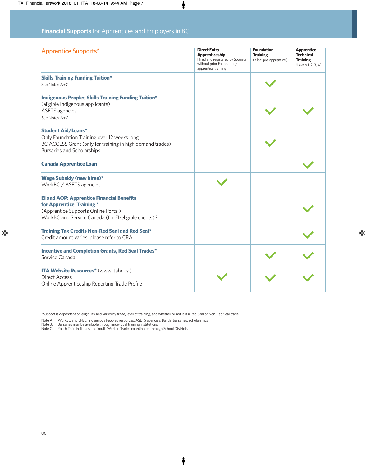| <b>Apprentice Supports*</b>                                                                                                                                                              | <b>Direct Entry</b><br>Apprenticeship<br>Hired and registered by Sponsor<br>without prior Foundation/<br>apprentice training | <b>Foundation</b><br><b>Training</b><br>(a.k.a: pre-apprentice) | <b>Apprentice</b><br><b>Technical</b><br><b>Training</b><br>(Levels 1, 2, 3, 4) |
|------------------------------------------------------------------------------------------------------------------------------------------------------------------------------------------|------------------------------------------------------------------------------------------------------------------------------|-----------------------------------------------------------------|---------------------------------------------------------------------------------|
| <b>Skills Training Funding Tuition*</b><br>See Notes A+C                                                                                                                                 |                                                                                                                              |                                                                 |                                                                                 |
| <b>Indigenous Peoples Skills Training Funding Tuition*</b><br>(eligible Indigenous applicants)<br><b>ASETS</b> agencies<br>See Notes A+C                                                 |                                                                                                                              |                                                                 |                                                                                 |
| <b>Student Aid/Loans*</b><br>Only Foundation Training over 12 weeks long<br>BC ACCESS Grant (only for training in high demand trades)<br><b>Bursaries and Scholarships</b>               |                                                                                                                              |                                                                 |                                                                                 |
| <b>Canada Apprentice Loan</b>                                                                                                                                                            |                                                                                                                              |                                                                 |                                                                                 |
| Wage Subsidy (new hires)*<br>WorkBC / ASETS agencies                                                                                                                                     |                                                                                                                              |                                                                 |                                                                                 |
| <b>El and AOP: Apprentice Financial Benefits</b><br>for Apprentice Training *<br>(Apprentice Supports Online Portal)<br>WorkBC and Service Canada (for EI-eligible clients) <sup>2</sup> |                                                                                                                              |                                                                 |                                                                                 |
| Training Tax Credits Non-Red Seal and Red Seal*<br>Credit amount varies, please refer to CRA                                                                                             |                                                                                                                              |                                                                 |                                                                                 |
| <b>Incentive and Completion Grants, Red Seal Trades*</b><br>Service Canada                                                                                                               |                                                                                                                              |                                                                 |                                                                                 |
| <b>ITA Website Resources*</b> (www.itabc.ca)<br><b>Direct Access</b><br>Online Apprenticeship Reporting Trade Profile                                                                    |                                                                                                                              |                                                                 |                                                                                 |

\*Support is dependent on eligibility and varies by trade, level of training, and whether or not it is a Red Seal or Non-Red Seal trade.

Note A: WorkBC and EPBC. Indigenous Peoples resources: ASETS agencies, Bands, bursaries, scholarships<br>Note B: Bursaries may be available through individual training institutions<br>Note C: Youth Train in Trades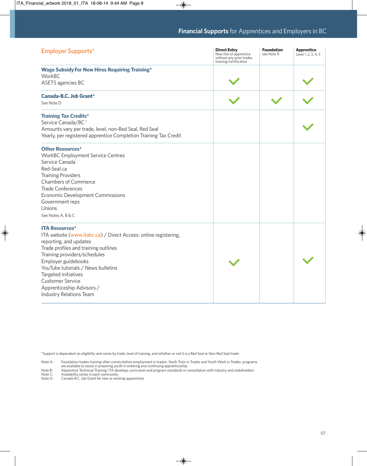| Employer Supports*                                                                                                                                                                                                                                                                                                                                                 | <b>Direct Entry</b><br>New hire of apprentice<br>without any prior trades<br>training/certification | <b>Foundation</b><br>see Note A | <b>Apprentice</b><br>Level 1, 2, 3, 4, 5 |
|--------------------------------------------------------------------------------------------------------------------------------------------------------------------------------------------------------------------------------------------------------------------------------------------------------------------------------------------------------------------|-----------------------------------------------------------------------------------------------------|---------------------------------|------------------------------------------|
| <b>Wage Subsidy For New Hires Requiring Training*</b><br>WorkBC<br>ASETS agencies BC                                                                                                                                                                                                                                                                               |                                                                                                     |                                 |                                          |
| Canada-B.C. Job Grant*<br>See Note D                                                                                                                                                                                                                                                                                                                               |                                                                                                     |                                 |                                          |
| <b>Training Tax Credits*</b><br>Service Canada/BC <sup>1</sup><br>Amounts vary per trade, level, non-Red Seal, Red Seal<br>Yearly, per registered apprentice Completion Training Tax Credit                                                                                                                                                                        |                                                                                                     |                                 |                                          |
| <b>Other Resources*</b><br><b>WorkBC Employment Service Centres</b><br>Service Canada<br>Red-Seal.ca<br><b>Training Providers</b><br><b>Chambers of Commerce</b><br><b>Trade Conferences</b><br><b>Economic Development Commissions</b><br>Government reps<br>Unions<br>See Notes A, B & C                                                                         |                                                                                                     |                                 |                                          |
| <b>ITA Resources*</b><br>ITA website (www.itabc.ca) / Direct Access: online registering,<br>reporting, and updates<br>Trade profiles and training outlines<br>Training providers/schedules<br>Employer guidebooks<br>YouTube tutorials / News bulletins<br>Targeted initiatives<br><b>Customer Service</b><br>Apprenticeship Advisors /<br>Industry Relations Team |                                                                                                     |                                 |                                          |

\*Support is dependent on eligibility and varies by trade, level of training, and whether or not it is a Red Seal or Non-Red Seal trade.

Note A: Foundation trades training often comes before employment in trades: Youth Train in Trades and Youth Work in Trades programs<br>Note B: Apprentice Technical Training: ITA develops curriculum and program standards in co